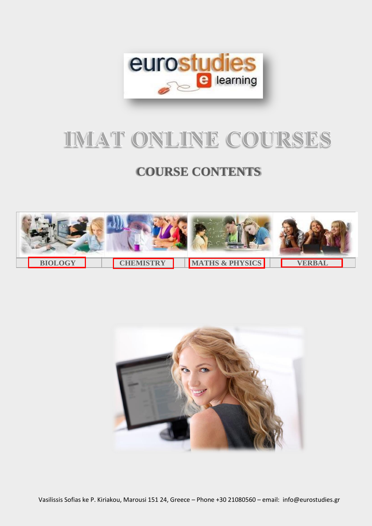

# IMAT ONLINE COURSES

# **COURSE CONTENTS**



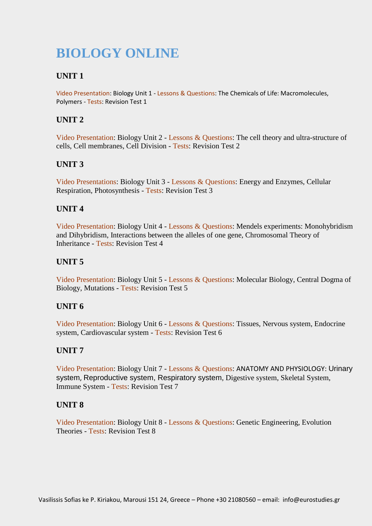# <span id="page-1-0"></span>**BIOLOGY ONLINE**

# **UNIT 1**

Video Presentation: Biology Unit 1 - Lessons & Questions: The Chemicals of Life: Macromolecules, Polymers - Tests: Revision Test 1

# **UNIT 2**

Video Presentation: Biology Unit 2 - Lessons & Questions: The cell theory and ultra-structure of cells, Cell membranes, Cell Division - Tests: Revision Test 2

# **UNIT 3**

Video Presentations: Biology Unit 3 - Lessons & Questions: Energy and Enzymes, Cellular Respiration, Photosynthesis - Tests: Revision Test 3

# **UNIT 4**

Video Presentation: Biology Unit 4 - Lessons & Questions: Mendels experiments: Monohybridism and Dihybridism, Interactions between the alleles of one gene, Chromosomal Theory of Inheritance - Tests: Revision Test 4

# **UNIT 5**

Video Presentation: Biology Unit 5 - Lessons & Questions: Molecular Biology, Central Dogma of Biology, Mutations - Tests: Revision Test 5

# **UNIT 6**

Video Presentation: Biology Unit 6 - Lessons & Questions: Tissues, Nervous system, Endocrine system, Cardiovascular system - Tests: Revision Test 6

# **UNIT 7**

Video Presentation: Biology Unit 7 - Lessons & Questions: ANATOMY AND PHYSIOLOGY: Urinary system, Reproductive system, Respiratory system, Digestive system, Skeletal System, Immune System - Tests: Revision Test 7

# **UNIT 8**

Video Presentation: Biology Unit 8 - Lessons & Questions: Genetic Engineering, Evolution Theories - Tests: Revision Test 8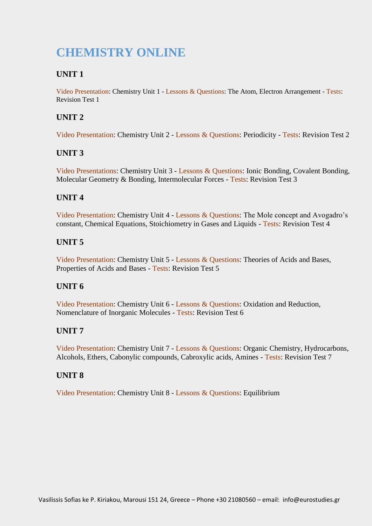# <span id="page-2-0"></span>**CHEMISTRY ONLINE**

# **UNIT 1**

Video Presentation: Chemistry Unit 1 - Lessons & Questions: The Atom, Electron Arrangement - Tests: Revision Test 1

# **UNIT 2**

Video Presentation: Chemistry Unit 2 - Lessons & Questions: Periodicity - Tests: Revision Test 2

# **UNIT 3**

Video Presentations: Chemistry Unit 3 - Lessons & Questions: Ionic Bonding, Covalent Bonding, Molecular Geometry & Bonding, Intermolecular Forces - Tests: Revision Test 3

# **UNIT 4**

Video Presentation: Chemistry Unit 4 - Lessons & Questions: The Mole concept and Avogadro's constant, Chemical Equations, Stoichiometry in Gases and Liquids - Tests: Revision Test 4

# **UNIT 5**

Video Presentation: Chemistry Unit 5 - Lessons & Questions: Theories of Acids and Bases, Properties of Acids and Bases - Tests: Revision Test 5

# **UNIT 6**

Video Presentation: Chemistry Unit 6 - Lessons & Questions: Oxidation and Reduction, Nomenclature of Inorganic Molecules - Tests: Revision Test 6

# **UNIT 7**

Video Presentation: Chemistry Unit 7 - Lessons & Questions: Organic Chemistry, Hydrocarbons, Alcohols, Ethers, Cabonylic compounds, Cabroxylic acids, Amines - Tests: Revision Test 7

#### **UNIT 8**

Video Presentation: Chemistry Unit 8 - Lessons & Questions: Equilibrium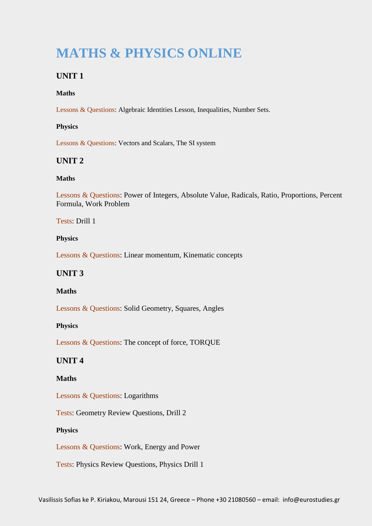# <span id="page-3-0"></span>**MATHS & PHYSICS ONLINE**

# **UNIT 1**

#### **Maths**

Lessons & Questions: Algebraic Identities Lesson, Inequalities, Number Sets.

#### **Physics**

Lessons & Questions: Vectors and Scalars, The SI system

#### **UNIT 2**

#### **Maths**

Lessons & Questions: Power of Integers, Absolute Value, Radicals, Ratio, Proportions, Percent Formula, Work Problem

Tests: Drill 1

#### **Physics**

Lessons & Questions: Linear momentum, Kinematic concepts

#### **UNIT 3**

#### **Maths**

Lessons & Questions: Solid Geometry, Squares, Angles

#### **Physics**

Lessons & Questions: The concept of force, TORQUE

### **UNIT 4**

#### **Maths**

Lessons & Questions: Logarithms

Tests: Geometry Review Questions, Drill 2

#### **Physics**

Lessons & Questions: Work, Energy and Power

Tests: Physics Review Questions, Physics Drill 1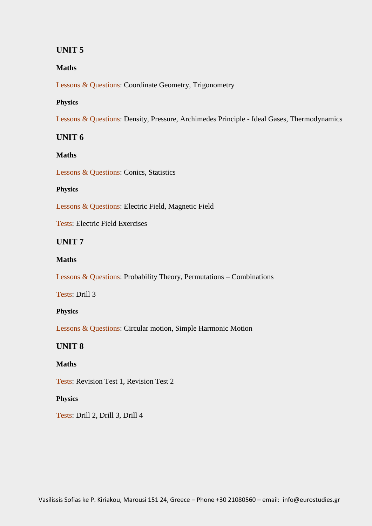# **UNIT 5**

#### **Maths**

Lessons & Questions: Coordinate Geometry, Trigonometry

#### **Physics**

Lessons & Questions: Density, Pressure, Archimedes Principle - Ideal Gases, Thermodynamics

### **UNIT 6**

#### **Maths**

Lessons & Questions: Conics, Statistics

#### **Physics**

Lessons & Questions: Electric Field, Magnetic Field

Tests: Electric Field Exercises

### **UNIT 7**

#### **Maths**

Lessons & Questions: Probability Theory, Permutations – Combinations

Tests: Drill 3

#### **Physics**

Lessons & Questions: Circular motion, Simple Harmonic Motion

#### **UNIT 8**

#### **Maths**

Tests: Revision Test 1, Revision Test 2

#### **Physics**

Tests: Drill 2, Drill 3, Drill 4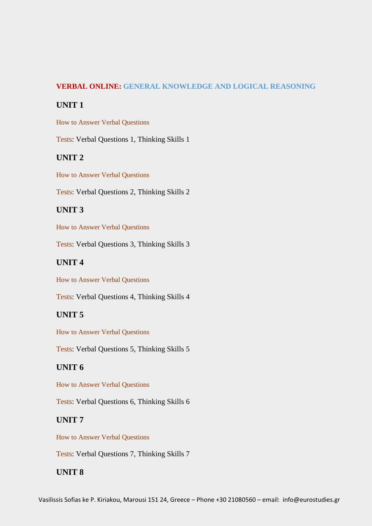#### <span id="page-5-0"></span>**VERBAL ONLINE: GENERAL KNOWLEDGE AND LOGICAL REASONING**

#### **UNIT 1**

How to Answer Verbal Questions

Tests: Verbal Questions 1, Thinking Skills 1

### **UNIT 2**

How to Answer Verbal Questions

Tests: Verbal Questions 2, Thinking Skills 2

# **UNIT 3**

How to Answer Verbal Questions

Tests: Verbal Questions 3, Thinking Skills 3

### **UNIT 4**

How to Answer Verbal Questions

Tests: Verbal Questions 4, Thinking Skills 4

# **UNIT 5**

How to Answer Verbal Questions

Tests: Verbal Questions 5, Thinking Skills 5

#### **UNIT 6**

How to Answer Verbal Questions

Tests: Verbal Questions 6, Thinking Skills 6

#### **UNIT 7**

How to Answer Verbal Questions

Tests: Verbal Questions 7, Thinking Skills 7

# **UNIT 8**